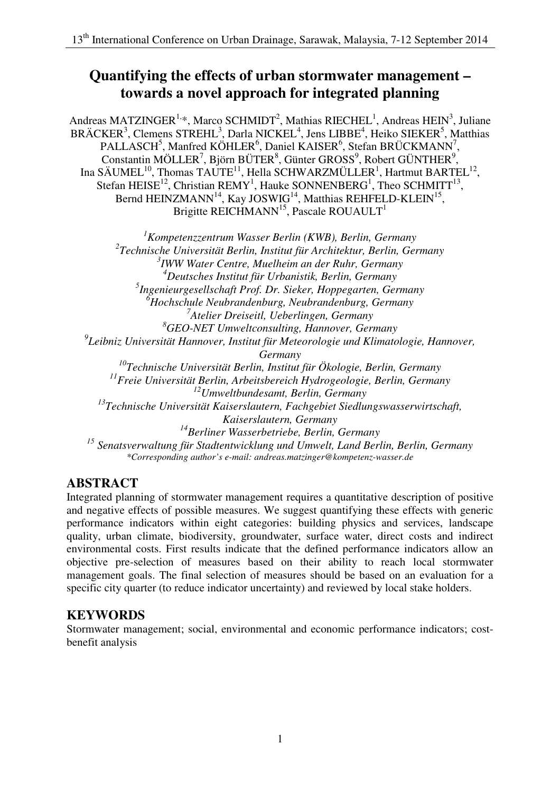# **Quantifying the effects of urban stormwater management – towards a novel approach for integrated planning**

Andreas MATZINGER<sup>1,\*</sup>, Marco SCHMIDT<sup>2</sup>, Mathias RIECHEL<sup>1</sup>, Andreas HEIN<sup>3</sup>, Juliane BRÄCKER<sup>3</sup>, Clemens STREHL<sup>3</sup>, Darla NICKEL<sup>4</sup>, Jens LIBBE<sup>4</sup>, Heiko SIEKER<sup>5</sup>, Matthias PALLASCH<sup>5</sup>, Manfred KÖHLER<sup>6</sup>, Daniel KAISER<sup>6</sup>, Stefan BRÜCKMANN<sup>7</sup>, Constantin MÖLLER<sup>7</sup>, Björn BÜTER<sup>8</sup>, Günter GROSS<sup>9</sup>, Robert GÜNTHER<sup>9</sup>, Ina SÄUMEL<sup>10</sup>, Thomas TAUTE<sup>11</sup>, Hella SCHWARZMÜLLER<sup>1</sup>, Hartmut BARTEL<sup>12</sup>, Stefan HEISE<sup>12</sup>, Christian REMY<sup>1</sup>, Hauke SONNENBERG<sup>1</sup>, Theo SCHMITT<sup>13</sup>, Bernd HEINZMANN<sup>14</sup>, Kay JOSWIG<sup>14</sup>, Matthias REHFELD-KLEIN<sup>15</sup>, Brigitte REICHMANN<sup>15</sup>, Pascale ROUAULT<sup>1</sup>

 *1 Kompetenzzentrum Wasser Berlin (KWB), Berlin, Germany 2 Technische Universität Berlin, Institut für Architektur, Berlin, Germany 3 IWW Water Centre, Muelheim an der Ruhr, Germany 4 Deutsches Institut für Urbanistik, Berlin, Germany 5 Ingenieurgesellschaft Prof. Dr. Sieker, Hoppegarten, Germany 6 Hochschule Neubrandenburg, Neubrandenburg, Germany 7 Atelier Dreiseitl, Ueberlingen, Germany 8 GEO-NET Umweltconsulting, Hannover, Germany*  <sup>9</sup><br>Leibniz Universität Hannover, Institut für Meteorologie und Klimatologie, Hannover, <sup>10</sup>Technische Universität Berlin, Institut für Ökologie, Berlin, Germany <sup>11</sup> Freie Universität Berlin, Arbeitsbereich Hydrogeologie, Berlin, Germany  *12Umweltbundesamt, Berlin, Germany 13Technische Universität Kaiserslautern, Fachgebiet Siedlungswasserwirtschaft, Kaiserslautern, Germany 14Berliner Wasserbetriebe, Berlin, Germany*  <sup>15</sup> Senatsverwaltung für Stadtentwicklung und Umwelt, Land Berlin, Berlin, Germany *Germany \*Corresponding author's e-mail: andreas.matzinger@kompetenz-wasser.de* 

# **ABSTRACT**

 Integrated planning of stormwater management requires a quantitative description of positive and negative effects of possible measures. We suggest quantifying these effects with generic performance indicators within eight categories: building physics and services, landscape quality, urban climate, biodiversity, groundwater, surface water, direct costs and indirect environmental costs. First results indicate that the defined performance indicators allow an objective pre-selection of measures based on their ability to reach local stormwater management goals. The final selection of measures should be based on an evaluation for a specific city quarter (to reduce indicator uncertainty) and reviewed by local stake holders.

# **KEYWORDS**

 Stormwater management; social, environmental and economic performance indicators; cost-benefit analysis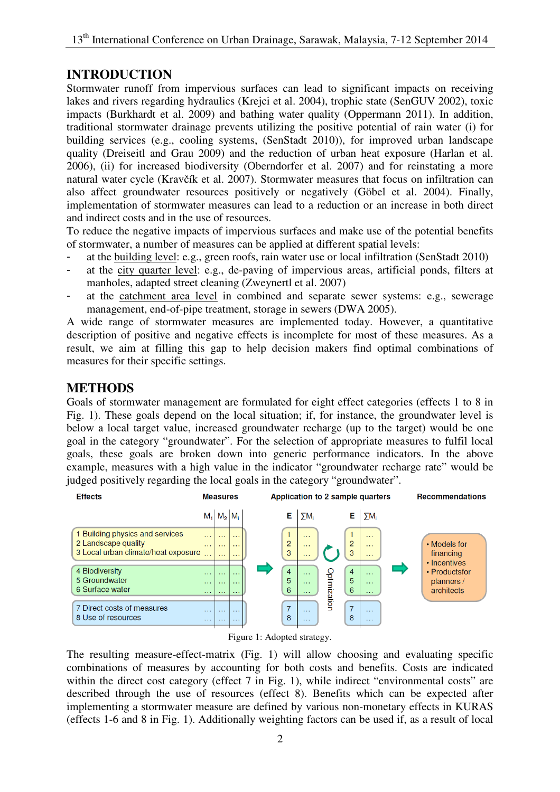### **INTRODUCTION**

 Stormwater runoff from impervious surfaces can lead to significant impacts on receiving lakes and rivers regarding hydraulics (Krejci et al. 2004), trophic state (SenGUV 2002), toxic impacts (Burkhardt et al. 2009) and bathing water quality (Oppermann 2011). In addition, traditional stormwater drainage prevents utilizing the positive potential of rain water (i) for building services (e.g., cooling systems, (SenStadt 2010)), for improved urban landscape quality (Dreiseitl and Grau 2009) and the reduction of urban heat exposure (Harlan et al. 2006), (ii) for increased biodiversity (Oberndorfer et al. 2007) and for reinstating a more natural water cycle (Kravčík et al. 2007). Stormwater measures that focus on infiltration can also affect groundwater resources positively or negatively (Göbel et al. 2004). Finally, implementation of stormwater measures can lead to a reduction or an increase in both direct and indirect costs and in the use of resources.

 To reduce the negative impacts of impervious surfaces and make use of the potential benefits of stormwater, a number of measures can be applied at different spatial levels:

- at the building level: e.g., green roofs, rain water use or local infiltration (SenStadt 2010)
- at the city quarter level: e.g., de-paving of impervious areas, artificial ponds, filters at manholes, adapted street cleaning (Zweynertl et al. 2007)
- at the catchment area level in combined and separate sewer systems: e.g., sewerage management, end-of-pipe treatment, storage in sewers (DWA 2005).

 A wide range of stormwater measures are implemented today. However, a quantitative description of positive and negative effects is incomplete for most of these measures. As a result, we aim at filling this gap to help decision makers find optimal combinations of measures for their specific settings.

### **METHODS**

 Goals of stormwater management are formulated for eight effect categories (effects 1 to 8 in Fig. 1). These goals depend on the local situation; if, for instance, the groundwater level is below a local target value, increased groundwater recharge (up to the target) would be one goal in the category "groundwater". For the selection of appropriate measures to fulfil local goals, these goals are broken down into generic performance indicators. In the above example, measures with a high value in the indicator "groundwater recharge rate" would be judged positively regarding the local goals in the category "groundwater".





 The resulting measure-effect-matrix (Fig. 1) will allow choosing and evaluating specific combinations of measures by accounting for both costs and benefits. Costs are indicated within the direct cost category (effect 7 in Fig. 1), while indirect "environmental costs" are described through the use of resources (effect 8). Benefits which can be expected after implementing a stormwater measure are defined by various non-monetary effects in KURAS (effects 1-6 and 8 in Fig. 1). Additionally weighting factors can be used if, as a result of local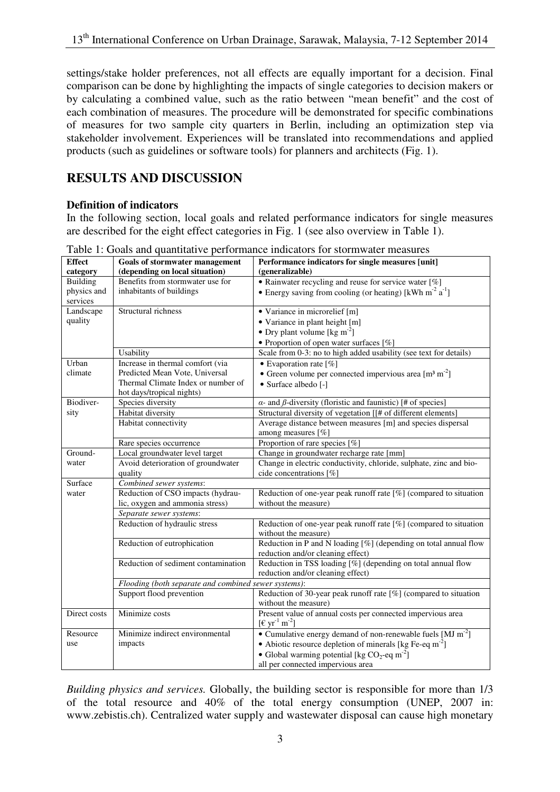settings/stake holder preferences, not all effects are equally important for a decision. Final comparison can be done by highlighting the impacts of single categories to decision makers or by calculating a combined value, such as the ratio between "mean benefit" and the cost of each combination of measures. The procedure will be demonstrated for specific combinations of measures for two sample city quarters in Berlin, including an optimization step via stakeholder involvement. Experiences will be translated into recommendations and applied products (such as guidelines or software tools) for planners and architects (Fig. 1).

# **RESULTS AND DISCUSSION**

#### **Definition of indicators**

 In the following section, local goals and related performance indicators for single measures are described for the eight effect categories in Fig. 1 (see also overview in Table 1).

| <b>Effect</b>   | <b>Goals of stormwater management</b>                | Performance indicators for single measures [unit]                          |
|-----------------|------------------------------------------------------|----------------------------------------------------------------------------|
| category        | (depending on local situation)                       | (generalizable)                                                            |
| <b>Building</b> | Benefits from stormwater use for                     | • Rainwater recycling and reuse for service water [%]                      |
| physics and     | inhabitants of buildings                             | • Energy saving from cooling (or heating) [kWh m <sup>-2</sup> $a^{-1}$ ]  |
| services        |                                                      |                                                                            |
| Landscape       | Structural richness                                  | • Variance in microrelief [m]                                              |
| quality         |                                                      | · Variance in plant height [m]                                             |
|                 |                                                      | • Dry plant volume [kg $m^{-2}$ ]                                          |
|                 |                                                      | • Proportion of open water surfaces [%]                                    |
|                 | Usability                                            | Scale from 0-3: no to high added usability (see text for details)          |
| Urban           | Increase in thermal comfort (via                     | • Evaporation rate $[\%]$                                                  |
| climate         | Predicted Mean Vote, Universal                       | • Green volume per connected impervious area $\lceil m^3 m^2 \rceil$       |
|                 | Thermal Climate Index or number of                   | · Surface albedo [-]                                                       |
|                 | hot days/tropical nights)                            |                                                                            |
| Biodiver-       | Species diversity                                    | $\alpha$ - and $\beta$ -diversity (floristic and faunistic) [# of species] |
| sity            | Habitat diversity                                    | Structural diversity of vegetation [[# of different elements]              |
|                 | Habitat connectivity                                 | Average distance between measures [m] and species dispersal                |
|                 |                                                      | among measures [%]                                                         |
|                 | Rare species occurrence                              | Proportion of rare species [%]                                             |
| Ground-         | Local groundwater level target                       | Change in groundwater recharge rate [mm]                                   |
| water           | Avoid deterioration of groundwater                   | Change in electric conductivity, chloride, sulphate, zinc and bio-         |
|                 | quality                                              | cide concentrations [%]                                                    |
| Surface         | Combined sewer systems:                              |                                                                            |
| water           | Reduction of CSO impacts (hydrau-                    | Reduction of one-year peak runoff rate $[\%]$ (compared to situation       |
|                 | lic, oxygen and ammonia stress)                      | without the measure)                                                       |
|                 | Separate sewer systems:                              |                                                                            |
|                 | Reduction of hydraulic stress                        | Reduction of one-year peak runoff rate $[\%]$ (compared to situation       |
|                 |                                                      | without the measure)                                                       |
|                 | Reduction of eutrophication                          | Reduction in P and N loading [%] (depending on total annual flow           |
|                 |                                                      | reduction and/or cleaning effect)                                          |
|                 | Reduction of sediment contamination                  | Reduction in TSS loading [%] (depending on total annual flow               |
|                 |                                                      | reduction and/or cleaning effect)                                          |
|                 | Flooding (both separate and combined sewer systems): |                                                                            |
|                 | Support flood prevention                             | Reduction of 30-year peak runoff rate $[\%]$ (compared to situation        |
|                 |                                                      | without the measure)                                                       |
| Direct costs    | Minimize costs                                       | Present value of annual costs per connected impervious area                |
|                 |                                                      | $[{\rm \epsilon yr}^1 \, {\rm m}^2]$                                       |
| Resource        | Minimize indirect environmental                      | • Cumulative energy demand of non-renewable fuels [MJ $m^{-2}$ ]           |
| use             | impacts                                              | • Abiotic resource depletion of minerals [kg Fe-eq m <sup>-2</sup> ]       |
|                 |                                                      | • Global warming potential [kg $CO_2$ -eq m <sup>-2</sup> ]                |
|                 |                                                      | all per connected impervious area                                          |

Table 1: Goals and quantitative performance indicators for stormwater measures

 *Building physics and services.* Globally, the building sector is responsible for more than 1/3 of the total resource and 40% of the total energy consumption (UNEP, 2007 in: www.zebistis.ch). Centralized water supply and wastewater disposal can cause high monetary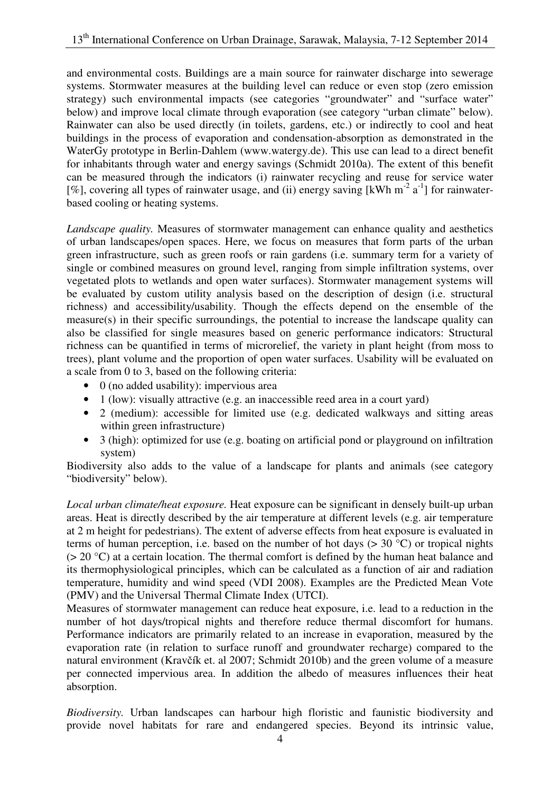and environmental costs. Buildings are a main source for rainwater discharge into sewerage systems. Stormwater measures at the building level can reduce or even stop (zero emission strategy) such environmental impacts (see categories "groundwater" and "surface water" below) and improve local climate through evaporation (see category "urban climate" below). Rainwater can also be used directly (in toilets, gardens, etc.) or indirectly to cool and heat buildings in the process of evaporation and condensation-absorption as demonstrated in the WaterGy prototype in Berlin-Dahlem (www.watergy.de). This use can lead to a direct benefit for inhabitants through water and energy savings (Schmidt 2010a). The extent of this benefit can be measured through the indicators (i) rainwater recycling and reuse for service water [%], covering all types of rainwater usage, and (ii) energy saving [kWh m<sup>-2</sup> a<sup>-1</sup>] for rainwater based cooling or heating systems.

 *Landscape quality.* Measures of stormwater management can enhance quality and aesthetics of urban landscapes/open spaces. Here, we focus on measures that form parts of the urban green infrastructure, such as green roofs or rain gardens (i.e. summary term for a variety of single or combined measures on ground level, ranging from simple infiltration systems, over vegetated plots to wetlands and open water surfaces). Stormwater management systems will be evaluated by custom utility analysis based on the description of design (i.e. structural richness) and accessibility/usability. Though the effects depend on the ensemble of the measure(s) in their specific surroundings, the potential to increase the landscape quality can also be classified for single measures based on generic performance indicators: Structural richness can be quantified in terms of microrelief, the variety in plant height (from moss to trees), plant volume and the proportion of open water surfaces. Usability will be evaluated on a scale from 0 to 3, based on the following criteria:

- • 0 (no added usability): impervious area
- 1 (low): visually attractive (e.g. an inaccessible reed area in a court yard)
- • 2 (medium): accessible for limited use (e.g. dedicated walkways and sitting areas within green infrastructure)
- 3 (high): optimized for use (e.g. boating on artificial pond or playground on infiltration system)

 Biodiversity also adds to the value of a landscape for plants and animals (see category "biodiversity" below).

 *Local urban climate/heat exposure.* Heat exposure can be significant in densely built-up urban areas. Heat is directly described by the air temperature at different levels (e.g. air temperature at 2 m height for pedestrians). The extent of adverse effects from heat exposure is evaluated in terms of human perception, i.e. based on the number of hot days  $(> 30 \degree C)$  or tropical nights  $(> 20 \degree C)$  at a certain location. The thermal comfort is defined by the human heat balance and its thermophysiological principles, which can be calculated as a function of air and radiation temperature, humidity and wind speed (VDI 2008). Examples are the Predicted Mean Vote (PMV) and the Universal Thermal Climate Index (UTCI).

 Measures of stormwater management can reduce heat exposure, i.e. lead to a reduction in the number of hot days/tropical nights and therefore reduce thermal discomfort for humans. Performance indicators are primarily related to an increase in evaporation, measured by the evaporation rate (in relation to surface runoff and groundwater recharge) compared to the natural environment (Kravčík et. al 2007; Schmidt 2010b) and the green volume of a measure per connected impervious area. In addition the albedo of measures influences their heat absorption.

 *Biodiversity.* Urban landscapes can harbour high floristic and faunistic biodiversity and provide novel habitats for rare and endangered species. Beyond its intrinsic value,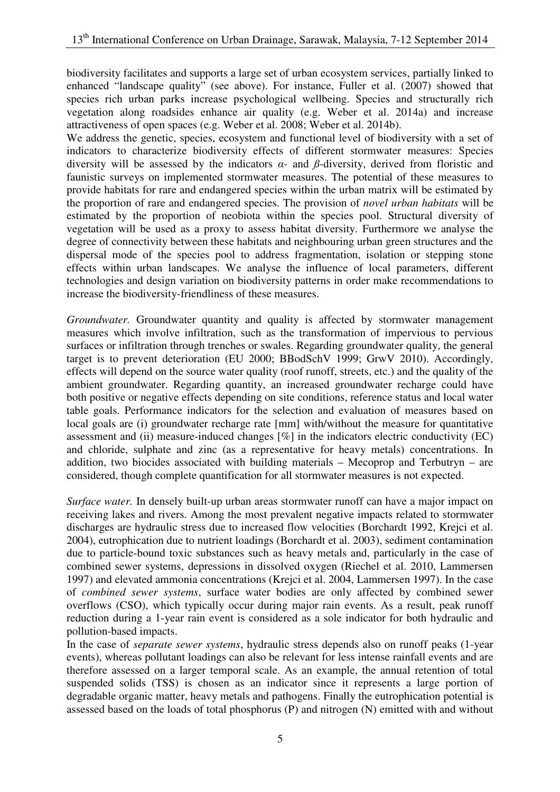biodiversity facilitates and supports a large set of urban ecosystem services, partially linked to enhanced "landscape quality" (see above). For instance, Fuller et al. (2007) showed that species rich urban parks increase psychological wellbeing. Species and structurally rich vegetation along roadsides enhance air quality (e.g. Weber et al. 2014a) and increase attractiveness of open spaces (e.g. Weber et al. 2008; Weber et al. 2014b).

 We address the genetic, species, ecosystem and functional level of biodiversity with a set of indicators to characterize biodiversity effects of different stormwater measures: Species diversity will be assessed by the indicators *α-* and *ß*-diversity, derived from floristic and faunistic surveys on implemented stormwater measures. The potential of these measures to provide habitats for rare and endangered species within the urban matrix will be estimated by the proportion of rare and endangered species. The provision of *novel urban habitats* will be estimated by the proportion of neobiota within the species pool. Structural diversity of vegetation will be used as a proxy to assess habitat diversity. Furthermore we analyse the degree of connectivity between these habitats and neighbouring urban green structures and the dispersal mode of the species pool to address fragmentation, isolation or stepping stone effects within urban landscapes. We analyse the influence of local parameters, different technologies and design variation on biodiversity patterns in order make recommendations to increase the biodiversity-friendliness of these measures.

 *Groundwater.* Groundwater quantity and quality is affected by stormwater management measures which involve infiltration, such as the transformation of impervious to pervious surfaces or infiltration through trenches or swales. Regarding groundwater quality, the general target is to prevent deterioration (EU 2000; BBodSchV 1999; GrwV 2010). Accordingly, effects will depend on the source water quality (roof runoff, streets, etc.) and the quality of the ambient groundwater. Regarding quantity, an increased groundwater recharge could have both positive or negative effects depending on site conditions, reference status and local water table goals. Performance indicators for the selection and evaluation of measures based on local goals are (i) groundwater recharge rate [mm] with/without the measure for quantitative assessment and (ii) measure-induced changes [%] in the indicators electric conductivity (EC) and chloride, sulphate and zinc (as a representative for heavy metals) concentrations. In addition, two biocides associated with building materials – Mecoprop and Terbutryn – are considered, though complete quantification for all stormwater measures is not expected.

 *Surface water.* In densely built-up urban areas stormwater runoff can have a major impact on receiving lakes and rivers. Among the most prevalent negative impacts related to stormwater discharges are hydraulic stress due to increased flow velocities (Borchardt 1992, Krejci et al. 2004), eutrophication due to nutrient loadings (Borchardt et al. 2003), sediment contamination due to particle-bound toxic substances such as heavy metals and, particularly in the case of combined sewer systems, depressions in dissolved oxygen (Riechel et al. 2010, Lammersen 1997) and elevated ammonia concentrations (Krejci et al. 2004, Lammersen 1997). In the case  of *combined sewer systems*, surface water bodies are only affected by combined sewer overflows (CSO), which typically occur during major rain events. As a result, peak runoff reduction during a 1-year rain event is considered as a sole indicator for both hydraulic and pollution-based impacts.

 In the case of *separate sewer systems*, hydraulic stress depends also on runoff peaks (1-year events), whereas pollutant loadings can also be relevant for less intense rainfall events and are therefore assessed on a larger temporal scale. As an example, the annual retention of total suspended solids (TSS) is chosen as an indicator since it represents a large portion of degradable organic matter, heavy metals and pathogens. Finally the eutrophication potential is assessed based on the loads of total phosphorus (P) and nitrogen (N) emitted with and without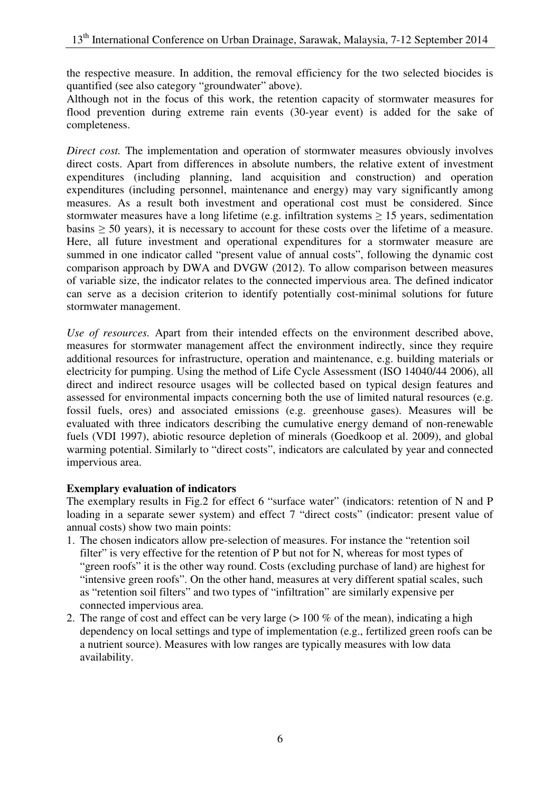the respective measure. In addition, the removal efficiency for the two selected biocides is quantified (see also category "groundwater" above).

 Although not in the focus of this work, the retention capacity of stormwater measures for flood prevention during extreme rain events (30-year event) is added for the sake of completeness.

 *Direct cost.* The implementation and operation of stormwater measures obviously involves direct costs. Apart from differences in absolute numbers, the relative extent of investment expenditures (including planning, land acquisition and construction) and operation expenditures (including personnel, maintenance and energy) may vary significantly among measures. As a result both investment and operational cost must be considered. Since stormwater measures have a long lifetime (e.g. infiltration systems  $\geq 15$  years, sedimentation basins  $\geq$  50 years), it is necessary to account for these costs over the lifetime of a measure. Here, all future investment and operational expenditures for a stormwater measure are summed in one indicator called "present value of annual costs", following the dynamic cost comparison approach by DWA and DVGW (2012). To allow comparison between measures of variable size, the indicator relates to the connected impervious area. The defined indicator can serve as a decision criterion to identify potentially cost-minimal solutions for future stormwater management.

Use of resources. Apart from their intended effects on the environment described above, measures for stormwater management affect the environment indirectly, since they require additional resources for infrastructure, operation and maintenance, e.g. building materials or electricity for pumping. Using the method of Life Cycle Assessment (ISO 14040/44 2006), all direct and indirect resource usages will be collected based on typical design features and assessed for environmental impacts concerning both the use of limited natural resources (e.g. fossil fuels, ores) and associated emissions (e.g. greenhouse gases). Measures will be evaluated with three indicators describing the cumulative energy demand of non-renewable fuels (VDI 1997), abiotic resource depletion of minerals (Goedkoop et al. 2009), and global warming potential. Similarly to "direct costs", indicators are calculated by year and connected impervious area.

#### **Exemplary evaluation of indicators**

 The exemplary results in Fig.2 for effect 6 "surface water" (indicators: retention of N and P loading in a separate sewer system) and effect 7 "direct costs" (indicator: present value of annual costs) show two main points:

- 1. The chosen indicators allow pre-selection of measures. For instance the "retention soil filter" is very effective for the retention of P but not for N, whereas for most types of "green roofs" it is the other way round. Costs (excluding purchase of land) are highest for "intensive green roofs". On the other hand, measures at very different spatial scales, such as "retention soil filters" and two types of "infiltration" are similarly expensive per connected impervious area.
- 2. The range of cost and effect can be very large  $(> 100\%$  of the mean), indicating a high dependency on local settings and type of implementation (e.g., fertilized green roofs can be a nutrient source). Measures with low ranges are typically measures with low data availability.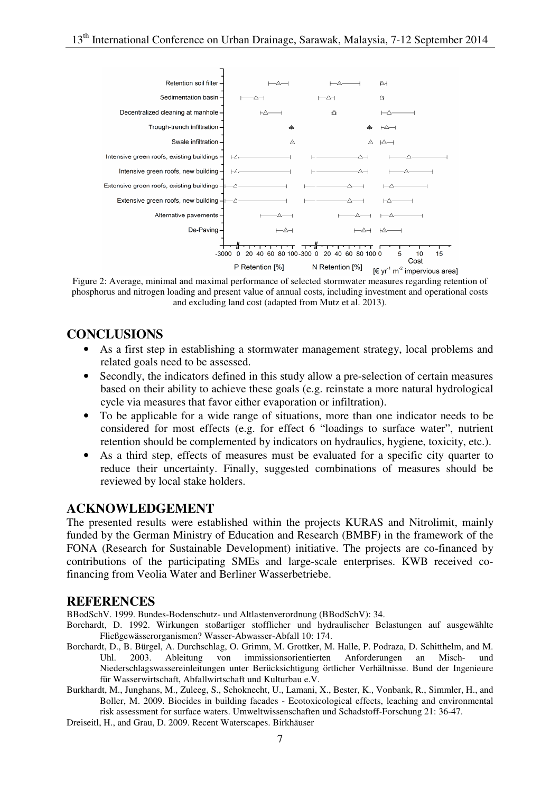

 Figure 2: Average, minimal and maximal performance of selected stormwater measures regarding retention of phosphorus and nitrogen loading and present value of annual costs, including investment and operational costs and excluding land cost (adapted from Mutz et al. 2013).

# **CONCLUSIONS**

- As a first step in establishing a stormwater management strategy, local problems and related goals need to be assessed.
- Secondly, the indicators defined in this study allow a pre-selection of certain measures based on their ability to achieve these goals (e.g. reinstate a more natural hydrological cycle via measures that favor either evaporation or infiltration).
- • To be applicable for a wide range of situations, more than one indicator needs to be considered for most effects (e.g. for effect 6 "loadings to surface water", nutrient retention should be complemented by indicators on hydraulics, hygiene, toxicity, etc.).
- reduce their uncertainty. Finally, suggested combinations of measures should be reviewed by local stake holders. As a third step, effects of measures must be evaluated for a specific city quarter to

### **ACKNOWLEDGEMENT**

 The presented results were established within the projects KURAS and Nitrolimit, mainly funded by the German Ministry of Education and Research (BMBF) in the framework of the FONA (Research for Sustainable Development) initiative. The projects are co-financed by contributions of the participating SMEs and large-scale enterprises. KWB received co-financing from Veolia Water and Berliner Wasserbetriebe.

#### **REFERENCES**

BBodSchV. 1999. Bundes-Bodenschutz- und Altlastenverordnung (BBodSchV): 34.

- Borchardt, D. 1992. Wirkungen stoßartiger stofflicher und hydraulischer Belastungen auf ausgewählte Fließgewässerorganismen? Wasser-Abwasser-Abfall 10: 174.
- Borchardt, D., B. Bürgel, A. Durchschlag, O. Grimm, M. Grottker, M. Halle, P. Podraza, D. Schitthelm, and M. Uhl. Niederschlagswassereinleitungen unter Berücksichtigung örtlicher Verhältnisse. Bund der Ingenieure für Wasserwirtschaft, Abfallwirtschaft und Kulturbau e.V. Uhl. 2003. Ableitung von immissionsorientierten Anforderungen an Misch- und
- Burkhardt, M., Junghans, M., Zuleeg, S., Schoknecht, U., Lamani, X., Bester, K., Vonbank, R., Simmler, H., and Boller, M. 2009. Biocides in building facades - Ecotoxicological effects, leaching and environmental risk assessment for surface waters. Umweltwissenschaften und Schadstoff-Forschung 21: 36-47.

Dreiseitl, H., and Grau, D. 2009. Recent Waterscapes. Birkhäuser